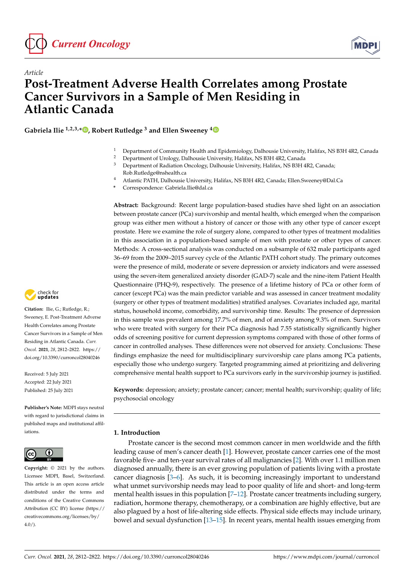

*Article*



# **Post-Treatment Adverse Health Correlates among Prostate Cancer Survivors in a Sample of Men Residing in Atlantic Canada**

**Gabriela Ilie 1,2,3,\* [,](https://orcid.org/0000-0002-1602-6374) Robert Rutledge <sup>3</sup> and Ellen Sweeney [4](https://orcid.org/0000-0002-7549-0011)**

- <sup>1</sup> Department of Community Health and Epidemiology, Dalhousie University, Halifax, NS B3H 4R2, Canada<br><sup>2</sup> Department of Uralagy, Dalhousia University, Halifax, NS B2H 4B2, Canada
- <sup>2</sup> Department of Urology, Dalhousie University, Halifax, NS B3H 4R2, Canada<br><sup>3</sup> Department of Padiation Opselogy, Dalhousie University, Helifax, NS B2H 4
- <sup>3</sup> Department of Radiation Oncology, Dalhousie University, Halifax, NS B3H 4R2, Canada; Rob.Rutledge@nshealth.ca
- <sup>4</sup> Atlantic PATH, Dalhousie University, Halifax, NS B3H 4R2, Canada; Ellen.Sweeney@Dal.Ca
- **\*** Correspondence: Gabriela.Ilie@dal.ca

**Abstract:** Background: Recent large population-based studies have shed light on an association between prostate cancer (PCa) survivorship and mental health, which emerged when the comparison group was either men without a history of cancer or those with any other type of cancer except prostate. Here we examine the role of surgery alone, compared to other types of treatment modalities in this association in a population-based sample of men with prostate or other types of cancer. Methods: A cross-sectional analysis was conducted on a subsample of 632 male participants aged 36–69 from the 2009–2015 survey cycle of the Atlantic PATH cohort study. The primary outcomes were the presence of mild, moderate or severe depression or anxiety indicators and were assessed using the seven-item generalized anxiety disorder (GAD-7) scale and the nine-item Patient Health Questionnaire (PHQ-9), respectively. The presence of a lifetime history of PCa or other form of cancer (except PCa) was the main predictor variable and was assessed in cancer treatment modality (surgery or other types of treatment modalities) stratified analyses. Covariates included age, marital status, household income, comorbidity, and survivorship time. Results: The presence of depression in this sample was prevalent among 17.7% of men, and of anxiety among 9.3% of men. Survivors who were treated with surgery for their PCa diagnosis had 7.55 statistically significantly higher odds of screening positive for current depression symptoms compared with those of other forms of cancer in controlled analyses. These differences were not observed for anxiety. Conclusions: These findings emphasize the need for multidisciplinary survivorship care plans among PCa patients, especially those who undergo surgery. Targeted programming aimed at prioritizing and delivering comprehensive mental health support to PCa survivors early in the survivorship journey is justified.

**Keywords:** depression; anxiety; prostate cancer; cancer; mental health; survivorship; quality of life; psychosocial oncology

## **1. Introduction**

Prostate cancer is the second most common cancer in men worldwide and the fifth leading cause of men's cancer death [\[1\]](#page-8-0). However, prostate cancer carries one of the most favorable five- and ten-year survival rates of all malignancies [\[2\]](#page-8-1). With over 1.1 million men diagnosed annually, there is an ever growing population of patients living with a prostate cancer diagnosis [\[3–](#page-8-2)[6\]](#page-9-0). As such, it is becoming increasingly important to understand what unmet survivorship needs may lead to poor quality of life and short- and long-term mental health issues in this population [7-[12\]](#page-9-2). Prostate cancer treatments including surgery, radiation, hormone therapy, chemotherapy, or a combination are highly effective, but are also plagued by a host of life-altering side effects. Physical side effects may include urinary, bowel and sexual dysfunction [\[13–](#page-9-3)[15\]](#page-9-4). In recent years, mental health issues emerging from



**Citation:** Ilie, G.; Rutledge, R.; Sweeney, E. Post-Treatment Adverse Health Correlates among Prostate Cancer Survivors in a Sample of Men Residing in Atlantic Canada. *Curr. Oncol.* **2021**, *28*, 2812–2822. [https://](https://doi.org/10.3390/curroncol28040246) [doi.org/10.3390/curroncol28040246](https://doi.org/10.3390/curroncol28040246)

Received: 5 July 2021 Accepted: 22 July 2021 Published: 25 July 2021

**Publisher's Note:** MDPI stays neutral with regard to jurisdictional claims in published maps and institutional affiliations.



**Copyright:** © 2021 by the authors. Licensee MDPI, Basel, Switzerland. This article is an open access article distributed under the terms and conditions of the Creative Commons Attribution (CC BY) license (https:/[/](https://creativecommons.org/licenses/by/4.0/) [creativecommons.org/licenses/by/](https://creativecommons.org/licenses/by/4.0/)  $4.0/$ ).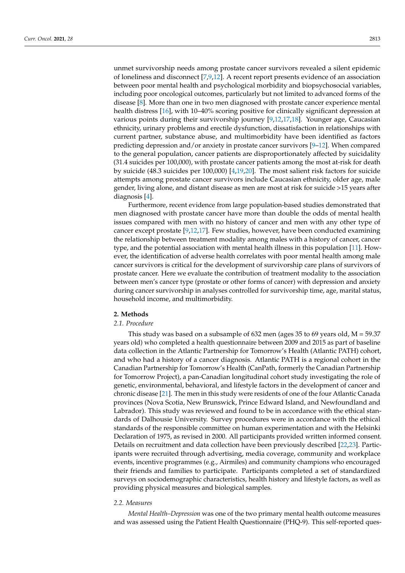unmet survivorship needs among prostate cancer survivors revealed a silent epidemic of loneliness and disconnect [\[7](#page-9-1)[,9](#page-9-5)[,12\]](#page-9-2). A recent report presents evidence of an association between poor mental health and psychological morbidity and biopsychosocial variables, including poor oncological outcomes, particularly but not limited to advanced forms of the disease [\[8\]](#page-9-6). More than one in two men diagnosed with prostate cancer experience mental health distress [\[16\]](#page-9-7), with 10–40% scoring positive for clinically significant depression at various points during their survivorship journey [\[9,](#page-9-5)[12,](#page-9-2)[17,](#page-9-8)[18\]](#page-9-9). Younger age, Caucasian ethnicity, urinary problems and erectile dysfunction, dissatisfaction in relationships with current partner, substance abuse, and multimorbidity have been identified as factors predicting depression and/or anxiety in prostate cancer survivors  $[9-12]$  $[9-12]$ . When compared to the general population, cancer patients are disproportionately affected by suicidality (31.4 suicides per 100,000), with prostate cancer patients among the most at-risk for death by suicide (48.3 suicides per 100,000) [\[4](#page-9-10)[,19,](#page-9-11)[20\]](#page-9-12). The most salient risk factors for suicide attempts among prostate cancer survivors include Caucasian ethnicity, older age, male gender, living alone, and distant disease as men are most at risk for suicide >15 years after diagnosis [\[4\]](#page-9-10).

Furthermore, recent evidence from large population-based studies demonstrated that men diagnosed with prostate cancer have more than double the odds of mental health issues compared with men with no history of cancer and men with any other type of cancer except prostate [\[9](#page-9-5)[,12](#page-9-2)[,17\]](#page-9-8). Few studies, however, have been conducted examining the relationship between treatment modality among males with a history of cancer, cancer type, and the potential association with mental health illness in this population [\[11\]](#page-9-13). However, the identification of adverse health correlates with poor mental health among male cancer survivors is critical for the development of survivorship care plans of survivors of prostate cancer. Here we evaluate the contribution of treatment modality to the association between men's cancer type (prostate or other forms of cancer) with depression and anxiety during cancer survivorship in analyses controlled for survivorship time, age, marital status, household income, and multimorbidity.

#### **2. Methods**

## *2.1. Procedure*

This study was based on a subsample of 632 men (ages 35 to 69 years old,  $M = 59.37$ ) years old) who completed a health questionnaire between 2009 and 2015 as part of baseline data collection in the Atlantic Partnership for Tomorrow's Health (Atlantic PATH) cohort, and who had a history of a cancer diagnosis. Atlantic PATH is a regional cohort in the Canadian Partnership for Tomorrow's Health (CanPath, formerly the Canadian Partnership for Tomorrow Project), a pan-Canadian longitudinal cohort study investigating the role of genetic, environmental, behavioral, and lifestyle factors in the development of cancer and chronic disease [\[21\]](#page-9-14). The men in this study were residents of one of the four Atlantic Canada provinces (Nova Scotia, New Brunswick, Prince Edward Island, and Newfoundland and Labrador). This study was reviewed and found to be in accordance with the ethical standards of Dalhousie University. Survey procedures were in accordance with the ethical standards of the responsible committee on human experimentation and with the Helsinki Declaration of 1975, as revised in 2000. All participants provided written informed consent. Details on recruitment and data collection have been previously described [\[22,](#page-9-15)[23\]](#page-9-16). Participants were recruited through advertising, media coverage, community and workplace events, incentive programmes (e.g., Airmiles) and community champions who encouraged their friends and families to participate. Participants completed a set of standardized surveys on sociodemographic characteristics, health history and lifestyle factors, as well as providing physical measures and biological samples.

## *2.2. Measures*

*Mental Health–Depression* was one of the two primary mental health outcome measures and was assessed using the Patient Health Questionnaire (PHQ-9). This self-reported ques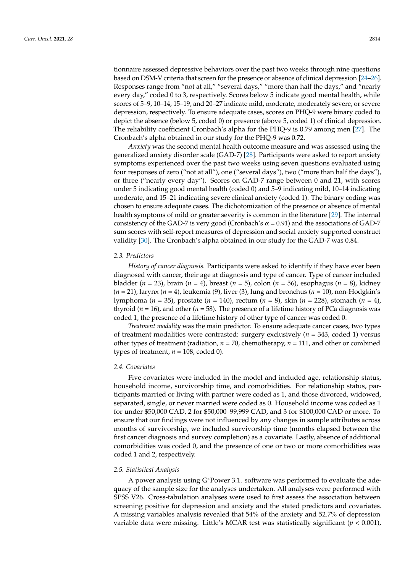tionnaire assessed depressive behaviors over the past two weeks through nine questions based on DSM-V criteria that screen for the presence or absence of clinical depression [\[24–](#page-9-17)[26\]](#page-10-0). Responses range from "not at all," "several days," "more than half the days," and "nearly every day," coded 0 to 3, respectively. Scores below 5 indicate good mental health, while scores of 5–9, 10–14, 15–19, and 20–27 indicate mild, moderate, moderately severe, or severe depression, respectively. To ensure adequate cases, scores on PHQ-9 were binary coded to depict the absence (below 5, coded 0) or presence (above 5, coded 1) of clinical depression. The reliability coefficient Cronbach's alpha for the PHQ-9 is 0.79 among men [\[27\]](#page-10-1). The Cronbach's alpha obtained in our study for the PHQ-9 was 0.72.

*Anxiety* was the second mental health outcome measure and was assessed using the generalized anxiety disorder scale (GAD-7) [\[28\]](#page-10-2). Participants were asked to report anxiety symptoms experienced over the past two weeks using seven questions evaluated using four responses of zero ("not at all"), one ("several days"), two ("more than half the days"), or three ("nearly every day"). Scores on GAD-7 range between 0 and 21, with scores under 5 indicating good mental health (coded 0) and 5–9 indicating mild, 10–14 indicating moderate, and 15–21 indicating severe clinical anxiety (coded 1). The binary coding was chosen to ensure adequate cases. The dichotomization of the presence or absence of mental health symptoms of mild or greater severity is common in the literature [\[29\]](#page-10-3). The internal consistency of the GAD-7 is very good (Cronbach's  $\alpha$  = 0.91) and the associations of GAD-7 sum scores with self-report measures of depression and social anxiety supported construct validity [\[30\]](#page-10-4). The Cronbach's alpha obtained in our study for the GAD-7 was 0.84.

## *2.3. Predictors*

*History of cancer diagnosis.* Participants were asked to identify if they have ever been diagnosed with cancer, their age at diagnosis and type of cancer. Type of cancer included bladder (*n* = 23), brain (*n* = 4), breast (*n* = 5), colon (*n* = 56), esophagus (*n* = 8), kidney (*n* = 21), larynx (*n* = 4), leukemia (9), liver (3), lung and bronchus (*n* = 10), non-Hodgkin's lymphoma (*n* = 35), prostate (*n* = 140), rectum (*n* = 8), skin (*n* = 228), stomach (*n* = 4), thyroid ( $n = 16$ ), and other ( $n = 58$ ). The presence of a lifetime history of PCa diagnosis was coded 1, the presence of a lifetime history of other type of cancer was coded 0.

*Treatment modality* was the main predictor. To ensure adequate cancer cases, two types of treatment modalities were contrasted: surgery exclusively (*n* = 343, coded 1) versus other types of treatment (radiation,  $n = 70$ , chemotherapy,  $n = 111$ , and other or combined types of treatment,  $n = 108$ , coded 0).

### *2.4. Covariates*

Five covariates were included in the model and included age, relationship status, household income, survivorship time, and comorbidities. For relationship status, participants married or living with partner were coded as 1, and those divorced, widowed, separated, single, or never married were coded as 0. Household income was coded as 1 for under \$50,000 CAD, 2 for \$50,000–99,999 CAD, and 3 for \$100,000 CAD or more. To ensure that our findings were not influenced by any changes in sample attributes across months of survivorship, we included survivorship time (months elapsed between the first cancer diagnosis and survey completion) as a covariate. Lastly, absence of additional comorbidities was coded 0, and the presence of one or two or more comorbidities was coded 1 and 2, respectively.

#### *2.5. Statistical Analysis*

A power analysis using G\*Power 3.1. software was performed to evaluate the adequacy of the sample size for the analyses undertaken. All analyses were performed with SPSS V26. Cross-tabulation analyses were used to first assess the association between screening positive for depression and anxiety and the stated predictors and covariates. A missing variables analysis revealed that 54% of the anxiety and 52.7% of depression variable data were missing. Little's MCAR test was statistically significant (*p* < 0.001),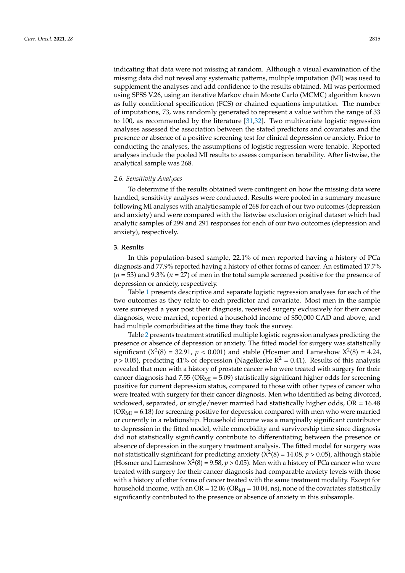indicating that data were not missing at random. Although a visual examination of the missing data did not reveal any systematic patterns, multiple imputation (MI) was used to supplement the analyses and add confidence to the results obtained. MI was performed using SPSS V.26, using an iterative Markov chain Monte Carlo (MCMC) algorithm known as fully conditional specification (FCS) or chained equations imputation. The number of imputations, 73, was randomly generated to represent a value within the range of 33 to 100, as recommended by the literature [\[31,](#page-10-5)[32\]](#page-10-6). Two multivariate logistic regression analyses assessed the association between the stated predictors and covariates and the presence or absence of a positive screening test for clinical depression or anxiety. Prior to conducting the analyses, the assumptions of logistic regression were tenable. Reported analyses include the pooled MI results to assess comparison tenability. After listwise, the analytical sample was 268.

#### *2.6. Sensitivity Analyses*

To determine if the results obtained were contingent on how the missing data were handled, sensitivity analyses were conducted. Results were pooled in a summary measure following MI analyses with analytic sample of 268 for each of our two outcomes (depression and anxiety) and were compared with the listwise exclusion original dataset which had analytic samples of 299 and 291 responses for each of our two outcomes (depression and anxiety), respectively.

#### **3. Results**

In this population-based sample, 22.1% of men reported having a history of PCa diagnosis and 77.9% reported having a history of other forms of cancer. An estimated 17.7% (*n* = 53) and 9.3% (*n* = 27) of men in the total sample screened positive for the presence of depression or anxiety, respectively.

Table [1](#page-4-0) presents descriptive and separate logistic regression analyses for each of the two outcomes as they relate to each predictor and covariate. Most men in the sample were surveyed a year post their diagnosis, received surgery exclusively for their cancer diagnosis, were married, reported a household income of \$50,000 CAD and above, and had multiple comorbidities at the time they took the survey.

Table [2](#page-5-0) presents treatment stratified multiple logistic regression analyses predicting the presence or absence of depression or anxiety. The fitted model for surgery was statistically significant ( $X^2(8) = 32.91$ ,  $p < 0.001$ ) and stable (Hosmer and Lameshow  $X^2(8) = 4.24$ ,  $p > 0.05$ ), predicting 41% of depression (Nagelkerke  $R^2 = 0.41$ ). Results of this analysis revealed that men with a history of prostate cancer who were treated with surgery for their cancer diagnosis had 7.55 ( $OR_{\text{MI}} = 5.09$ ) statistically significant higher odds for screening positive for current depression status, compared to those with other types of cancer who were treated with surgery for their cancer diagnosis. Men who identified as being divorced, widowed, separated, or single/never married had statistically higher odds,  $OR = 16.48$  $(OR_{MI} = 6.18)$  for screening positive for depression compared with men who were married or currently in a relationship. Household income was a marginally significant contributor to depression in the fitted model, while comorbidity and survivorship time since diagnosis did not statistically significantly contribute to differentiating between the presence or absence of depression in the surgery treatment analysis. The fitted model for surgery was not statistically significant for predicting anxiety ( $X^2(8)$  = 14.08*, p* > 0.05), although stable (Hosmer and Lameshow  $X^2(8) = 9.58$ ,  $p > 0.05$ ). Men with a history of PCa cancer who were treated with surgery for their cancer diagnosis had comparable anxiety levels with those with a history of other forms of cancer treated with the same treatment modality. Except for household income, with an OR =  $12.06$  (OR<sub>MI</sub> =  $10.04$ , ns), none of the covariates statistically significantly contributed to the presence or absence of anxiety in this subsample.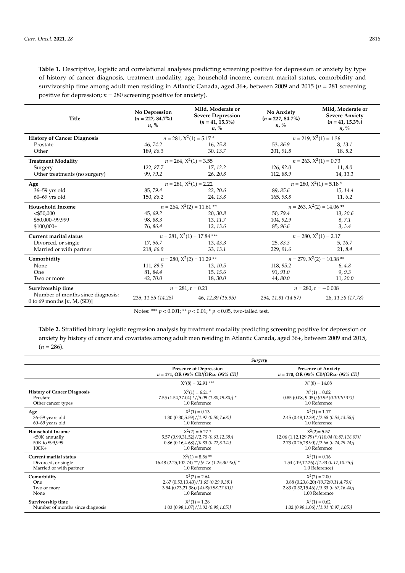<span id="page-4-0"></span>**Table 1.** Descriptive, logistic and correlational analyses predicting screening positive for depression or anxiety by type of history of cancer diagnosis, treatment modality, age, household income, current marital status, comorbidity and survivorship time among adult men residing in Atlantic Canada, aged 36+, between 2009 and 2015 (*n* = 281 screening positive for depression; *n* = 280 screening positive for anxiety).

| Title                                                              | No Depression<br>$(n = 227, 84.7\%)$<br>$n, \%$              | Mild, Moderate or<br><b>Severe Depression</b><br>$(n = 41, 15.3\%)$<br>$n, \%$ | No Anxiety<br>$(n = 227, 84.7\%)$<br>$n, \%$ | Mild, Moderate or<br><b>Severe Anxiety</b><br>$(n = 41, 15.3\%)$<br>$n, \%$ |
|--------------------------------------------------------------------|--------------------------------------------------------------|--------------------------------------------------------------------------------|----------------------------------------------|-----------------------------------------------------------------------------|
| <b>History of Cancer Diagnosis</b>                                 | $n = 281, X^2(1) = 5.17$ *                                   |                                                                                | $n = 219, X^2(1) = 1.36$                     |                                                                             |
| Prostate                                                           | 46, 74.2                                                     | 16, 25.8                                                                       | 53,86.9                                      | 8, 13.1                                                                     |
| Other                                                              | 189, 86.3                                                    | 30, 13.7                                                                       | 201, 91.8                                    | 18, 8.2                                                                     |
| <b>Treatment Modality</b>                                          |                                                              | $n = 264$ , $X^2(1) = 3.55$<br>$n = 263, X^2(1) = 0.73$                        |                                              |                                                                             |
| Surgery                                                            | 122, 87.7                                                    | 17, 12.2                                                                       | 126, 92.0                                    | 11, 8.0                                                                     |
| Other treatments (no surgery)                                      | 99,79.2                                                      | 26, 20.8                                                                       | 112,88.9                                     | 14, 11.1                                                                    |
| Age                                                                |                                                              | $n = 281, X^2(1) = 2.22$<br>$n = 280, X^2(1) = 5.18$ *                         |                                              |                                                                             |
| 36-59 yrs old                                                      | 85,79.4                                                      | 22, 20.6                                                                       | 89, 85.6                                     | 15, 14.4                                                                    |
| $60 - 69$ yrs old                                                  | 150, 86.2                                                    | 24, 13.8                                                                       | 165, 93.8                                    | 11, 6.2                                                                     |
| <b>Household Income</b>                                            | $n = 264, X^2(2) = 11.61$ **<br>$n = 263, X^2(2) = 14.06$ ** |                                                                                |                                              |                                                                             |
| $<$ \$50,000                                                       | 45, 69.2                                                     | 20, 30.8                                                                       | 50,79.4                                      | 13, 20.6                                                                    |
| \$50,000-99,999                                                    | 98,88.3                                                      | 13, 11.7                                                                       | 104, 92.9                                    | 8,7.1                                                                       |
| $$100,000+$                                                        | 76,86.4                                                      | 12, 13.6                                                                       | 85, 96.6                                     | 3, 3.4                                                                      |
| Current marital status                                             | $n = 281, X^2(1) = 17.84$ ***<br>$n = 280, X^2(1) = 2.17$    |                                                                                |                                              |                                                                             |
| Divorced, or single                                                | 17,56.7                                                      | 13, 43.3                                                                       | 25, 83.3                                     | 5, 16.7                                                                     |
| Married or with partner                                            | 218, 86.9                                                    | 33, 13.1                                                                       | 229, 91.6                                    | 21, 8.4                                                                     |
| Comorbidity                                                        |                                                              | $n = 280, X^2(2) = 11.29$ **                                                   |                                              | $n = 279, X^2(2) = 10.38$ **                                                |
| None                                                               | 111,89.5                                                     | 13, 10.5                                                                       | 118, 95.2                                    | 6, 4.8                                                                      |
| One                                                                | 81, 84.4                                                     | 15, 15.6                                                                       | 91, 91.0                                     | 9,9.3                                                                       |
| Two or more                                                        | 42,70.0                                                      | 18,30.0                                                                        | 44,80.0                                      | 11, 20.0                                                                    |
| Survivorship time                                                  | $n = 281$ , $r = 0.21$                                       |                                                                                | $n = 280$ , $r = -0.008$                     |                                                                             |
| Number of months since diagnosis;<br>0 to 69 months $[n, M, (SD)]$ | 235, 11.55 (14.25)                                           | 46, 12.39 (16.95)                                                              | 254, 11.81 (14.57)                           | 26, 11.38 (17.78)                                                           |

Notes: \*\*\* *p* < 0.001; \*\* *p* < 0.01; \* *p* < 0.05, two-tailed test.

**Table 2.** Stratified binary logistic regression analysis by treatment modality predicting screening positive for depression or anxiety by history of cancer and covariates among adult men residing in Atlantic Canada, aged 36+, between 2009 and 2015,  $(n = 286)$ .

|                                    | Surgery                                                                              |                                                                                   |  |
|------------------------------------|--------------------------------------------------------------------------------------|-----------------------------------------------------------------------------------|--|
|                                    | <b>Presence of Depression</b><br>$n = 171$ , OR (95% CI)/[OR <sub>MI</sub> (95% CI)] | <b>Presence of Anxiety</b><br>$n = 170$ , OR (95% CI)/[OR <sub>MI</sub> (95% CI)] |  |
|                                    | $X^2(8) = 32.91$ ***                                                                 | $X^2(8) = 14.08$                                                                  |  |
| <b>History of Cancer Diagnosis</b> | $X^2(1) = 6.21$ *                                                                    | $X^2(1) = 0.02$                                                                   |  |
| Prostate                           | 7.55 (1.54,37.04) */[5.09 (1.30,19.88)] *                                            | 0.85(0.08, 9.05)/[0.99(0.10, 10.37)]                                              |  |
| Other cancer types                 | 1.0 Reference                                                                        | 1.0 Reference                                                                     |  |
| Age                                | $X^2(1) = 0.13$                                                                      | $X^2(1) = 1.17$                                                                   |  |
| 36-59 years old                    | 1.30(0.30,5.59)/[1.97(0.50,7.68)]                                                    | 2.45 (0.48,12.39)/[2.68 (0.53,13.58)]                                             |  |
| 60-69 years old                    | 1.0 Reference                                                                        | 1.0 Reference                                                                     |  |
| <b>Household Income</b>            | $X^2(2) = 6.27$ *                                                                    | $X^2(2) = 5.57$                                                                   |  |
| <50K annually                      | 5.57 (0.99,31.52)/[2.75 (0.61,12.39)]                                                | 12.06 (1.12,129.79) */[10.04 (0.87,116.07)]                                       |  |
| 50K to \$99,999                    | $0.86$ (0.16,4.68)/[0.83 (0.22,3.14)]                                                | 2.73 (0.26,28.90)/[2.66 (0.24,29.24)]                                             |  |
| $100K+$                            | 1.0 Reference                                                                        | 1.0 Reference                                                                     |  |
| <b>Current marital status</b>      | $X^2(1) = 8.56$ **                                                                   | $X^2(1) = 0.16$                                                                   |  |
| Divorced, or single                | 16.48 (2.25,107.74) ** / [6.18 (1.25,30.48)] *                                       | $1.54$ (.19,12.26)/[1.33 (0.17,10.75)]                                            |  |
| Married or with partner            | 1.0 Reference                                                                        | 1.0 Reference)                                                                    |  |
| Comorbidity                        | $X^2(2) = 2.64$                                                                      | $X^2(2) = 2.00$                                                                   |  |
| One                                | 2.67 (0.53,13.43)/[1.65 (0.29,9.38)]                                                 | $0.88$ $(0.23,6.20)$ / [0.72(0.11,4.75)]                                          |  |
| Two or more                        | 3.94 (0.73,21.38)/[4.08(0.98,17.01)]                                                 | 2.83 (0.52, 15.46) / [3.33 (0.67, 16.48)]                                         |  |
| None                               | 1.0 Reference                                                                        | 1.00 Reference                                                                    |  |
| Survivorship time                  | $X^2(1) = 1.28$                                                                      | $X^2(1) = 0.62$                                                                   |  |
| Number of months since diagnosis   | 1.03(0.98,1.07)/[1.02(0.99,1.05)]                                                    | 1.02(0.98, 1.06)/[1.01(0.97, 1.05)]                                               |  |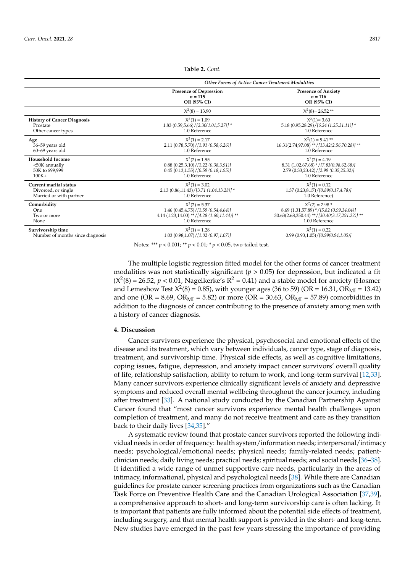**Survivorship time** 

<span id="page-5-0"></span>

|                                    | Other Forms of Active Cancer Treatment Modalities         |                                                        |  |
|------------------------------------|-----------------------------------------------------------|--------------------------------------------------------|--|
|                                    | <b>Presence of Depression</b><br>$n = 115$<br>OR (95% CI) | <b>Presence of Anxiety</b><br>$n = 116$<br>OR (95% CI) |  |
|                                    | $X^2(8) = 13.90$                                          | $X^2(8) = 26.52$ **                                    |  |
| <b>History of Cancer Diagnosis</b> | $X^2(1) = 1.09$                                           | $X^2(1) = 3.60$                                        |  |
| Prostate                           | $1.83(0.59,5.66)/[2.30(1.01,5.27)]$ *                     | $5.18(0.95,28.29)/[6.24(1.25,31.11)]$ *                |  |
| Other cancer types                 | 1.0 Reference                                             | 1.0 Reference                                          |  |
| Age                                | $X^2(1) = 2.17$                                           | $X^2(1) = 9.41$ **                                     |  |
| 36-59 years old                    | 2.11 (0.78,5.70)/[1.91 (0.58,6.26)]                       | 16.31(2.74,97.08) **/[13.42(2.56,70.28)] **            |  |
| 60-69 years old                    | 1.0 Reference                                             | 1.0 Reference                                          |  |
| Household Income                   | $X^2(2) = 1.95$                                           | $X^2(2) = 4.19$                                        |  |
| <50K annually                      | $0.88$ $(0.25,3.10)/[1.22$ $(0.38,3.91)]$                 | 8.31 (1.02,67.68) */[7.83(0.98,62.68)]                 |  |
| 50K to \$99,999                    | 0.45(0.13, 1.55) / [0.59(0.18, 1.95)]                     | 2.79 (0.33,23.42)/[2.99 (0.35,25.32)]                  |  |
| $100K+$                            | 1.0 Reference                                             | 1.0 Reference                                          |  |
| Current marital status             | $X^2(1) = 3.02$                                           | $X^2(1) = 0.12$                                        |  |
| Divorced, or single                | $2.13(0.86,11.43)/[3.71(1.04,13.28)]$ *                   | 1.37(0.23, 8.17)/[0.89(0.17, 4.78)]                    |  |
| Married or with partner            | 1.0 Reference                                             | 1.0 Reference)                                         |  |
| Comorbidity                        | $X^2(2) = 5.37$                                           | $X^2(2) = 7.98*$                                       |  |
| One                                | 1.46 (0.45,4.75)/[1.59 (0.54,4.64)]                       | 8.69 (1.31,57.89) */[5.82 (0.99,34.04)]                |  |
| Two or more                        | 4.14 $(1.23,14.00)$ **/[4.28 $(1.60,11.44)$ ] **          | 30.63(2.68,350.44) **/[30.40(3.17,291.22)] **          |  |

**Table 2.** *Cont.*

Notes: \*\*\* *p* < 0.001; \*\* *p* < 0.01; \* *p* < 0.05, two-tailed test.

None 1.00 Reference 1.00 Reference 1.00 Reference 2.00 Reference 2.00 Reference 2.00 Reference

The multiple logistic regression fitted model for the other forms of cancer treatment modalities was not statistically significant ( $p > 0.05$ ) for depression, but indicated a fit  $(X^2(8) = 26.52, p < 0.01$ , Nagelkerke's  $R^2 = 0.41$ ) and a stable model for anxiety (Hosmer and Lemeshow Test  $X^2(8) = 0.85$ ), with younger ages (36 to 59) (OR = 16.31, OR<sub>MI</sub> = 13.42) and one (OR = 8.69, OR<sub>MI</sub> = 5.82) or more (OR = 30.63, OR<sub>MI</sub> = 57.89) comorbidities in addition to the diagnosis of cancer contributing to the presence of anxiety among men with a history of cancer diagnosis.

 $\chi^2(1) = 1.28$   $\chi^2$ 

 $X^2(1) = 0.22$ <br>(0.99 (0.93,1.05)/[0.99(0.94,1.05)]

#### **4. Discussion**

Number of months since diagnosis 1.03 (0.98,1.07)/<sup>[1.02</sup> (0.97,1.07)]

Cancer survivors experience the physical, psychosocial and emotional effects of the disease and its treatment, which vary between individuals, cancer type, stage of diagnosis, treatment, and survivorship time. Physical side effects, as well as cognitive limitations, coping issues, fatigue, depression, and anxiety impact cancer survivors' overall quality of life, relationship satisfaction, ability to return to work, and long-term survival [\[12,](#page-9-2)[33\]](#page-10-7). Many cancer survivors experience clinically significant levels of anxiety and depressive symptoms and reduced overall mental wellbeing throughout the cancer journey, including after treatment [\[33\]](#page-10-7). A national study conducted by the Canadian Partnership Against Cancer found that "most cancer survivors experience mental health challenges upon completion of treatment, and many do not receive treatment and care as they transition back to their daily lives [\[34,](#page-10-8)[35\]](#page-10-9)."

A systematic review found that prostate cancer survivors reported the following individual needs in order of frequency: health system/information needs; interpersonal/intimacy needs; psychological/emotional needs; physical needs; family-related needs; patientclinician needs; daily living needs; practical needs; spiritual needs; and social needs [\[36](#page-10-10)[–38\]](#page-10-11). It identified a wide range of unmet supportive care needs, particularly in the areas of intimacy, informational, physical and psychological needs [\[38\]](#page-10-11). While there are Canadian guidelines for prostate cancer screening practices from organizations such as the Canadian Task Force on Preventive Health Care and the Canadian Urological Association [\[37,](#page-10-12)[39\]](#page-10-13), a comprehensive approach to short- and long-term survivorship care is often lacking. It is important that patients are fully informed about the potential side effects of treatment, including surgery, and that mental health support is provided in the short- and long-term. New studies have emerged in the past few years stressing the importance of providing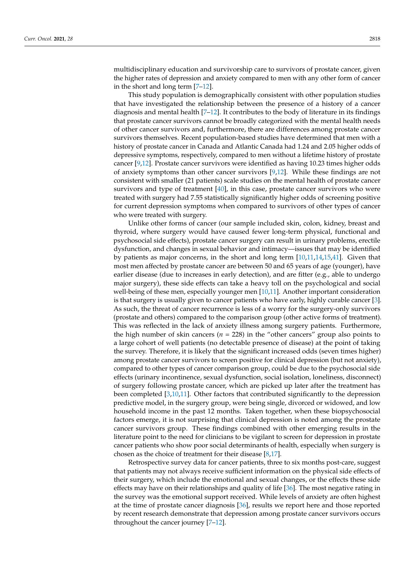multidisciplinary education and survivorship care to survivors of prostate cancer, given the higher rates of depression and anxiety compared to men with any other form of cancer in the short and long term [\[7–](#page-9-1)[12\]](#page-9-2).

This study population is demographically consistent with other population studies that have investigated the relationship between the presence of a history of a cancer diagnosis and mental health [\[7](#page-9-1)[–12\]](#page-9-2). It contributes to the body of literature in its findings that prostate cancer survivors cannot be broadly categorized with the mental health needs of other cancer survivors and, furthermore, there are differences among prostate cancer survivors themselves. Recent population-based studies have determined that men with a history of prostate cancer in Canada and Atlantic Canada had 1.24 and 2.05 higher odds of depressive symptoms, respectively, compared to men without a lifetime history of prostate cancer [\[9](#page-9-5)[,12\]](#page-9-2). Prostate cancer survivors were identified as having 10.23 times higher odds of anxiety symptoms than other cancer survivors [\[9](#page-9-5)[,12\]](#page-9-2). While these findings are not consistent with smaller (21 patients) scale studies on the mental health of prostate cancer survivors and type of treatment [\[40\]](#page-10-14), in this case, prostate cancer survivors who were treated with surgery had 7.55 statistically significantly higher odds of screening positive for current depression symptoms when compared to survivors of other types of cancer who were treated with surgery.

Unlike other forms of cancer (our sample included skin, colon, kidney, breast and thyroid, where surgery would have caused fewer long-term physical, functional and psychosocial side effects), prostate cancer surgery can result in urinary problems, erectile dysfunction, and changes in sexual behavior and intimacy—issues that may be identified by patients as major concerns, in the short and long term [\[10](#page-9-18)[,11](#page-9-13)[,14](#page-9-19)[,15](#page-9-4)[,41\]](#page-10-15). Given that most men affected by prostate cancer are between 50 and 65 years of age (younger), have earlier disease (due to increases in early detection), and are fitter (e.g., able to undergo major surgery), these side effects can take a heavy toll on the psychological and social well-being of these men, especially younger men [\[10](#page-9-18)[,11\]](#page-9-13). Another important consideration is that surgery is usually given to cancer patients who have early, highly curable cancer [\[3\]](#page-8-2). As such, the threat of cancer recurrence is less of a worry for the surgery-only survivors (prostate and others) compared to the comparison group (other active forms of treatment). This was reflected in the lack of anxiety illness among surgery patients. Furthermore, the high number of skin cancers (*n* = 228) in the "other cancers" group also points to a large cohort of well patients (no detectable presence of disease) at the point of taking the survey. Therefore, it is likely that the significant increased odds (seven times higher) among prostate cancer survivors to screen positive for clinical depression (but not anxiety), compared to other types of cancer comparison group, could be due to the psychosocial side effects (urinary incontinence, sexual dysfunction, social isolation, loneliness, disconnect) of surgery following prostate cancer, which are picked up later after the treatment has been completed [\[3,](#page-8-2)[10,](#page-9-18)[11\]](#page-9-13). Other factors that contributed significantly to the depression predictive model, in the surgery group, were being single, divorced or widowed, and low household income in the past 12 months. Taken together, when these biopsychosocial factors emerge, it is not surprising that clinical depression is noted among the prostate cancer survivors group. These findings combined with other emerging results in the literature point to the need for clinicians to be vigilant to screen for depression in prostate cancer patients who show poor social determinants of health, especially when surgery is chosen as the choice of treatment for their disease [\[8](#page-9-6)[,17\]](#page-9-8).

Retrospective survey data for cancer patients, three to six months post-care, suggest that patients may not always receive sufficient information on the physical side effects of their surgery, which include the emotional and sexual changes, or the effects these side effects may have on their relationships and quality of life [\[36\]](#page-10-10). The most negative rating in the survey was the emotional support received. While levels of anxiety are often highest at the time of prostate cancer diagnosis [\[36\]](#page-10-10), results we report here and those reported by recent research demonstrate that depression among prostate cancer survivors occurs throughout the cancer journey [\[7–](#page-9-1)[12\]](#page-9-2).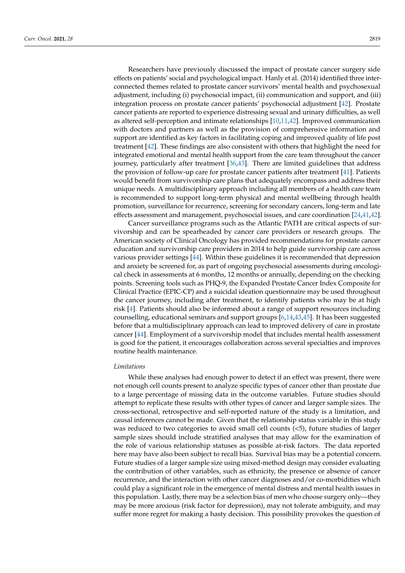Researchers have previously discussed the impact of prostate cancer surgery side effects on patients' social and psychological impact. Hanly et al. (2014) identified three interconnected themes related to prostate cancer survivors' mental health and psychosexual adjustment, including (i) psychosocial impact, (ii) communication and support, and (iii) integration process on prostate cancer patients' psychosocial adjustment [\[42\]](#page-10-16). Prostate cancer patients are reported to experience distressing sexual and urinary difficulties, as well as altered self-perception and intimate relationships [\[10,](#page-9-18)[11,](#page-9-13)[42\]](#page-10-16). Improved communication with doctors and partners as well as the provision of comprehensive information and support are identified as key factors in facilitating coping and improved quality of life post treatment [\[42\]](#page-10-16). These findings are also consistent with others that highlight the need for integrated emotional and mental health support from the care team throughout the cancer journey, particularly after treatment [\[36,](#page-10-10)[43\]](#page-10-17). There are limited guidelines that address the provision of follow-up care for prostate cancer patients after treatment [\[41\]](#page-10-15). Patients would benefit from survivorship care plans that adequately encompass and address their unique needs. A multidisciplinary approach including all members of a health care team is recommended to support long-term physical and mental wellbeing through health promotion, surveillance for recurrence, screening for secondary cancers, long-term and late effects assessment and management, psychosocial issues, and care coordination [\[24](#page-9-17)[,41](#page-10-15)[,42\]](#page-10-16).

Cancer surveillance programs such as the Atlantic PATH are critical aspects of survivorship and can be spearheaded by cancer care providers or research groups. The American society of Clinical Oncology has provided recommendations for prostate cancer education and survivorship care providers in 2014 to help guide survivorship care across various provider settings [\[44\]](#page-10-18). Within these guidelines it is recommended that depression and anxiety be screened for, as part of ongoing psychosocial assessments during oncological check in assessments at 6 months, 12 months or annually, depending on the checking points. Screening tools such as PHQ-9, the Expanded Prostate Cancer Index Composite for Clinical Practice (EPIC-CP) and a suicidal ideation questionnaire may be used throughout the cancer journey, including after treatment, to identify patients who may be at high risk [\[4\]](#page-9-10). Patients should also be informed about a range of support resources including counselling, educational seminars and support groups [\[6](#page-9-0)[,14](#page-9-19)[,43](#page-10-17)[,45\]](#page-10-19). It has been suggested before that a multidisciplinary approach can lead to improved delivery of care in prostate cancer [\[44\]](#page-10-18). Employment of a survivorship model that includes mental health assessment is good for the patient, it encourages collaboration across several specialties and improves routine health maintenance.

#### *Limitations*

While these analyses had enough power to detect if an effect was present, there were not enough cell counts present to analyze specific types of cancer other than prostate due to a large percentage of missing data in the outcome variables. Future studies should attempt to replicate these results with other types of cancer and larger sample sizes. The cross-sectional, retrospective and self-reported nature of the study is a limitation, and causal inferences cannot be made. Given that the relationship status variable in this study was reduced to two categories to avoid small cell counts (<5), future studies of larger sample sizes should include stratified analyses that may allow for the examination of the role of various relationship statuses as possible at-risk factors. The data reported here may have also been subject to recall bias. Survival bias may be a potential concern. Future studies of a larger sample size using mixed-method design may consider evaluating the contribution of other variables, such as ethnicity, the presence or absence of cancer recurrence, and the interaction with other cancer diagnoses and/or co-morbidities which could play a significant role in the emergence of mental distress and mental health issues in this population. Lastly, there may be a selection bias of men who choose surgery only—they may be more anxious (risk factor for depression), may not tolerate ambiguity, and may suffer more regret for making a hasty decision. This possibility provokes the question of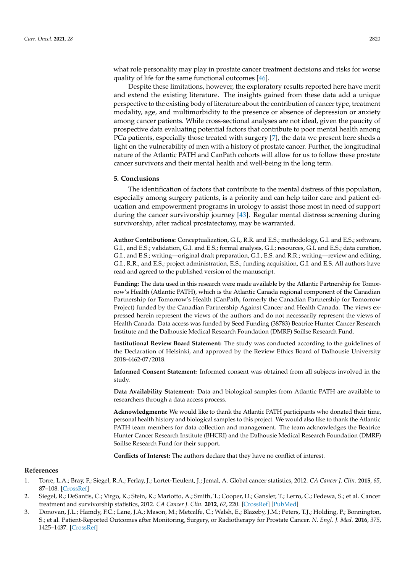what role personality may play in prostate cancer treatment decisions and risks for worse quality of life for the same functional outcomes [\[46\]](#page-10-20).

Despite these limitations, however, the exploratory results reported here have merit and extend the existing literature. The insights gained from these data add a unique perspective to the existing body of literature about the contribution of cancer type, treatment modality, age, and multimorbidity to the presence or absence of depression or anxiety among cancer patients. While cross-sectional analyses are not ideal, given the paucity of prospective data evaluating potential factors that contribute to poor mental health among PCa patients, especially those treated with surgery [\[7\]](#page-9-1), the data we present here sheds a light on the vulnerability of men with a history of prostate cancer. Further, the longitudinal nature of the Atlantic PATH and CanPath cohorts will allow for us to follow these prostate cancer survivors and their mental health and well-being in the long term.

#### **5. Conclusions**

The identification of factors that contribute to the mental distress of this population, especially among surgery patients, is a priority and can help tailor care and patient education and empowerment programs in urology to assist those most in need of support during the cancer survivorship journey [\[43\]](#page-10-17). Regular mental distress screening during survivorship, after radical prostatectomy, may be warranted.

**Author Contributions:** Conceptualization, G.I., R.R. and E.S.; methodology, G.I. and E.S.; software, G.I., and E.S.; validation, G.I. and E.S.; formal analysis, G.I.; resources, G.I. and E.S.; data curation, G.I., and E.S.; writing—original draft preparation, G.I., E.S. and R.R.; writing—review and editing, G.I., R.R., and E.S.; project administration, E.S.; funding acquisition, G.I. and E.S. All authors have read and agreed to the published version of the manuscript.

**Funding:** The data used in this research were made available by the Atlantic Partnership for Tomorrow's Health (Atlantic PATH), which is the Atlantic Canada regional component of the Canadian Partnership for Tomorrow's Health (CanPath, formerly the Canadian Partnership for Tomorrow Project) funded by the Canadian Partnership Against Cancer and Health Canada. The views expressed herein represent the views of the authors and do not necessarily represent the views of Health Canada. Data access was funded by Seed Funding (38783) Beatrice Hunter Cancer Research Institute and the Dalhousie Medical Research Foundation (DMRF) Soillse Research Fund.

**Institutional Review Board Statement:** The study was conducted according to the guidelines of the Declaration of Helsinki, and approved by the Review Ethics Board of Dalhousie University 2018-4462-07/2018.

**Informed Consent Statement:** Informed consent was obtained from all subjects involved in the study.

**Data Availability Statement:** Data and biological samples from Atlantic PATH are available to researchers through a data access process.

**Acknowledgments:** We would like to thank the Atlantic PATH participants who donated their time, personal health history and biological samples to this project. We would also like to thank the Atlantic PATH team members for data collection and management. The team acknowledges the Beatrice Hunter Cancer Research Institute (BHCRI) and the Dalhousie Medical Research Foundation (DMRF) Soillse Research Fund for their support.

**Conflicts of Interest:** The authors declare that they have no conflict of interest.

#### **References**

- <span id="page-8-0"></span>1. Torre, L.A.; Bray, F.; Siegel, R.A.; Ferlay, J.; Lortet-Tieulent, J.; Jemal, A. Global cancer statistics, 2012. *CA Cancer J. Clin.* **2015**, *65*, 87–108. [\[CrossRef\]](http://doi.org/10.3322/caac.21262)
- <span id="page-8-1"></span>2. Siegel, R.; DeSantis, C.; Virgo, K.; Stein, K.; Mariotto, A.; Smith, T.; Cooper, D.; Gansler, T.; Lerro, C.; Fedewa, S.; et al. Cancer treatment and survivorship statistics, 2012. *CA Cancer J. Clin.* **2012**, *62*, 220. [\[CrossRef\]](http://doi.org/10.3322/caac.21149) [\[PubMed\]](http://www.ncbi.nlm.nih.gov/pubmed/22700443)
- <span id="page-8-2"></span>3. Donovan, J.L.; Hamdy, F.C.; Lane, J.A.; Mason, M.; Metcalfe, C.; Walsh, E.; Blazeby, J.M.; Peters, T.J.; Holding, P.; Bonnington, S.; et al. Patient-Reported Outcomes after Monitoring, Surgery, or Radiotherapy for Prostate Cancer. *N. Engl. J. Med.* **2016**, *375*, 1425–1437. [\[CrossRef\]](http://doi.org/10.1056/NEJMoa1606221)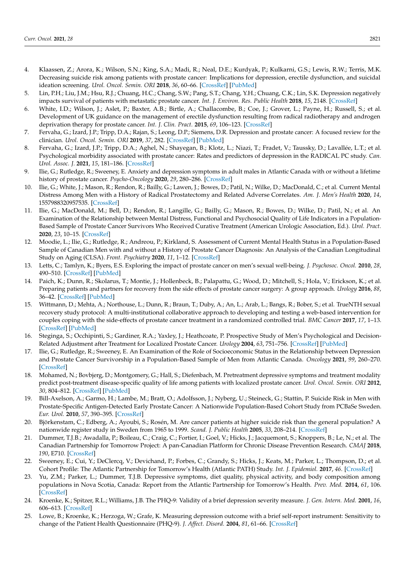- <span id="page-9-10"></span>4. Klaassen, Z.; Arora, K.; Wilson, S.N.; King, S.A.; Madi, R.; Neal, D.E.; Kurdyak, P.; Kulkarni, G.S.; Lewis, R.W.; Terris, M.K. Decreasing suicide risk among patients with prostate cancer: Implications for depression, erectile dysfunction, and suicidal ideation screening. *Urol. Oncol. Semin. ORI* **2018**, *36*, 60–66. [\[CrossRef\]](http://doi.org/10.1016/j.urolonc.2017.09.007) [\[PubMed\]](http://www.ncbi.nlm.nih.gov/pubmed/28964659)
- 5. Lin, P.H.; Liu, J.M.; Hsu, R.J.; Chuang, H.C.; Chang, S.W.; Pang, S.T.; Chang, Y.H.; Chuang, C.K.; Lin, S.K. Depression negatively impacts survival of patients with metastatic prostate cancer. *Int. J. Environ. Res. Public Health* **2018**, *15*, 2148. [\[CrossRef\]](http://doi.org/10.3390/ijerph15102148)
- <span id="page-9-0"></span>6. White, I.D.; Wilson, J.; Aslet, P.; Baxter, A.B.; Birtle, A.; Challacombe, B.; Coe, J.; Grover, L.; Payne, H.; Russell, S.; et al. Development of UK guidance on the management of erectile dysfunction resulting from radical radiotherapy and androgen deprivation therapy for prostate cancer. *Int. J. Clin. Pract.* **2015**, *69*, 106–123. [\[CrossRef\]](http://doi.org/10.1111/ijcp.12512)
- <span id="page-9-1"></span>7. Fervaha, G.; Izard, J.P.; Tripp, D.A.; Rajan, S.; Leong, D.P.; Siemens, D.R. Depression and prostate cancer: A focused review for the clinician. *Urol. Oncol. Semin. ORI* **2019**, *37*, 282. [\[CrossRef\]](http://doi.org/10.1016/j.urolonc.2018.12.020) [\[PubMed\]](http://www.ncbi.nlm.nih.gov/pubmed/30630735)
- <span id="page-9-6"></span>8. Fervaha, G.; Izard, J.P.; Tripp, D.A.; Aghel, N.; Shayegan, B.; Klotz, L.; Niazi, T.; Fradet, V.; Taussky, D.; Lavallée, L.T.; et al. Psychological morbidity associated with prostate cancer: Rates and predictors of depression in the RADICAL PC study. *Can. Urol. Assoc. J.* **2021**, *15*, 181–186. [\[CrossRef\]](http://doi.org/10.5489/cuaj.6912)
- <span id="page-9-5"></span>9. Ilie, G.; Rutledge, R.; Sweeney, E. Anxiety and depression symptoms in adult males in Atlantic Canada with or without a lifetime history of prostate cancer. *Psycho-Oncology* **2020**, *29*, 280–286. [\[CrossRef\]](http://doi.org/10.1002/pon.5244)
- <span id="page-9-18"></span>10. Ilie, G.; White, J.; Mason, R.; Rendon, R.; Bailly, G.; Lawen, J.; Bowes, D.; Patil, N.; Wilke, D.; MacDonald, C.; et al. Current Mental Distress Among Men with a History of Radical Prostatectomy and Related Adverse Correlates. *Am. J. Men's Health* **2020**, *14*, 1557988320957535. [\[CrossRef\]](http://doi.org/10.1177/1557988320957535)
- <span id="page-9-13"></span>11. Ilie, G.; MacDonald, M.; Bell, D.; Rendon, R.; Langille, G.; Bailly, G.; Mason, R.; Bowes, D.; Wilke, D.; Patil, N.; et al. An Examination of the Relationship between Mental Distress, Functional and Psychosocial Quality of Life Indicators in a Population-Based Sample of Prostate Cancer Survivors Who Received Curative Treatment (American Urologic Association, Ed.). *Urol. Pract.* **2020**, *23*, 10–15. [\[CrossRef\]](http://doi.org/10.1097/UPJ.0000000000000104)
- <span id="page-9-2"></span>12. Moodie, L.; Ilie, G.; Rutledge, R.; Andreou, P.; Kirkland, S. Assessment of Current Mental Health Status in a Population-Based Sample of Canadian Men with and without a History of Prostate Cancer Diagnosis: An Analysis of the Canadian Longitudinal Study on Aging (CLSA). *Front. Psychiatry* **2020**, *11*, 1–12. [\[CrossRef\]](http://doi.org/10.3389/fpsyt.2020.586260)
- <span id="page-9-3"></span>13. Letts, C.; Tamlyn, K.; Byers, E.S. Exploring the impact of prostate cancer on men's sexual well-being. *J. Psychosoc. Oncol.* **2010**, *28*, 490–510. [\[CrossRef\]](http://doi.org/10.1080/07347332.2010.498457) [\[PubMed\]](http://www.ncbi.nlm.nih.gov/pubmed/20730661)
- <span id="page-9-19"></span>14. Paich, K.; Dunn, R.; Skolarus, T.; Montie, J.; Hollenbeck, B.; Palapattu, G.; Wood, D.; Mitchell, S.; Hola, V.; Erickson, K.; et al. Preparing patients and partners for recovery from the side effects of prostate cancer surgery: A group approach. *Urology* **2016**, *88*, 36–42. [\[CrossRef\]](http://doi.org/10.1016/j.urology.2015.07.064) [\[PubMed\]](http://www.ncbi.nlm.nih.gov/pubmed/26541826)
- <span id="page-9-4"></span>15. Wittmann, D.; Mehta, A.; Northouse, L.; Dunn, R.; Braun, T.; Duby, A.; An, L.; Arab, L.; Bangs, R.; Bober, S.; et al. TrueNTH sexual recovery study protocol: A multi-institutional collaborative approach to developing and testing a web-based intervention for couples coping with the side-effects of prostate cancer treatment in a randomized controlled trial. *BMC Cancer* **2017**, *17*, 1–13. [\[CrossRef\]](http://doi.org/10.1186/s12885-017-3652-3) [\[PubMed\]](http://www.ncbi.nlm.nih.gov/pubmed/28969611)
- <span id="page-9-7"></span>16. Steginga, S.; Occhipinti, S.; Gardiner, R.A.; Yaxley, J.; Heathcoate, P. Prospective Study of Men's Psychological and Decision-Related Adjustment after Treatment for Localized Prostate Cancer. *Urology* **2004**, *63*, 751–756. [\[CrossRef\]](http://doi.org/10.1016/j.urology.2003.11.017) [\[PubMed\]](http://www.ncbi.nlm.nih.gov/pubmed/15072894)
- <span id="page-9-8"></span>17. Ilie, G.; Rutledge, R.; Sweeney, E. An Examination of the Role of Socioeconomic Status in the Relationship between Depression and Prostate Cancer Survivorship in a Population-Based Sample of Men from Atlantic Canada. *Oncology* **2021**, *99*, 260–270. [\[CrossRef\]](http://doi.org/10.1159/000512444)
- <span id="page-9-9"></span>18. Mohamed, N.; Bovbjerg, D.; Montgomery, G.; Hall, S.; Diefenbach, M. Pretreatment depressive symptoms and treatment modality predict post-treatment disease-specific quality of life among patients with localized prostate cancer. *Urol. Oncol. Semin. ORI* **2012**, *30*, 804–812. [\[CrossRef\]](http://doi.org/10.1016/j.urolonc.2011.02.002) [\[PubMed\]](http://www.ncbi.nlm.nih.gov/pubmed/21795078)
- <span id="page-9-11"></span>19. Bill-Axelson, A.; Garmo, H.; Lambe, M.; Bratt, O.; Adolfsson, J.; Nyberg, U.; Steineck, G.; Stattin, P. Suicide Risk in Men with Prostate-Specific Antigen-Detected Early Prostate Cancer: A Nationwide Population-Based Cohort Study from PCBaSe Sweden. *Eur. Urol.* **2010**, *57*, 390–395. [\[CrossRef\]](http://doi.org/10.1016/j.eururo.2009.10.035)
- <span id="page-9-12"></span>20. Björkenstam, C.; Edberg, A.; Ayoubi, S.; Rosén, M. Are cancer patients at higher suicide risk than the general population? A nationwide register study in Sweden from 1965 to 1999. *Scand. J. Public Health* **2005**, *33*, 208–214. [\[CrossRef\]](http://doi.org/10.1080/14034940410019226)
- <span id="page-9-14"></span>21. Dummer, T.J.B.; Awadalla, P.; Boileau, C.; Craig, C.; Fortier, I.; Goel, V.; Hicks, J.; Jacquemont, S.; Knoppers, B.; Le, N.; et al. The Canadian Partnership for Tomorrow Project: A pan-Canadian Platform for Chronic Disease Prevention Research. *CMAJ* **2018**, *190*, E710. [\[CrossRef\]](http://doi.org/10.1503/cmaj.170292)
- <span id="page-9-15"></span>22. Sweeney, E.; Cui, Y.; DeClercq, V.; Devichand, P.; Forbes, C.; Grandy, S.; Hicks, J.; Keats, M.; Parker, L.; Thompson, D.; et al. Cohort Profile: The Atlantic Partnership for Tomorrow's Health (Atlantic PATH) Study. *Int. J. Epidemiol.* **2017**, *46*. [\[CrossRef\]](http://doi.org/10.1093/ije/dyx124)
- <span id="page-9-16"></span>23. Yu, Z.M.; Parker, L.; Dummer, T.J.B. Depressive symptoms, diet quality, physical activity, and body composition among populations in Nova Scotia, Canada: Report from the Atlantic Partnership for Tomorrow's Health. *Prev. Med.* **2014**, *61*, 106. [\[CrossRef\]](http://doi.org/10.1016/j.ypmed.2013.12.022)
- <span id="page-9-17"></span>24. Kroenke, K.; Spitzer, R.L.; Williams, J.B. The PHQ-9: Validity of a brief depression severity measure. *J. Gen. Intern. Med.* **2001**, *16*, 606–613. [\[CrossRef\]](http://doi.org/10.1046/j.1525-1497.2001.016009606.x)
- 25. Lowe, B.; Kroenke, K.; Herzoga, W.; Grafe, K. Measuring depression outcome with a brief self-report instrument: Sensitivity to change of the Patient Health Questionnaire (PHQ-9). *J. Affect. Disord.* **2004**, *81*, 61–66. [\[CrossRef\]](http://doi.org/10.1016/S0165-0327(03)00198-8)